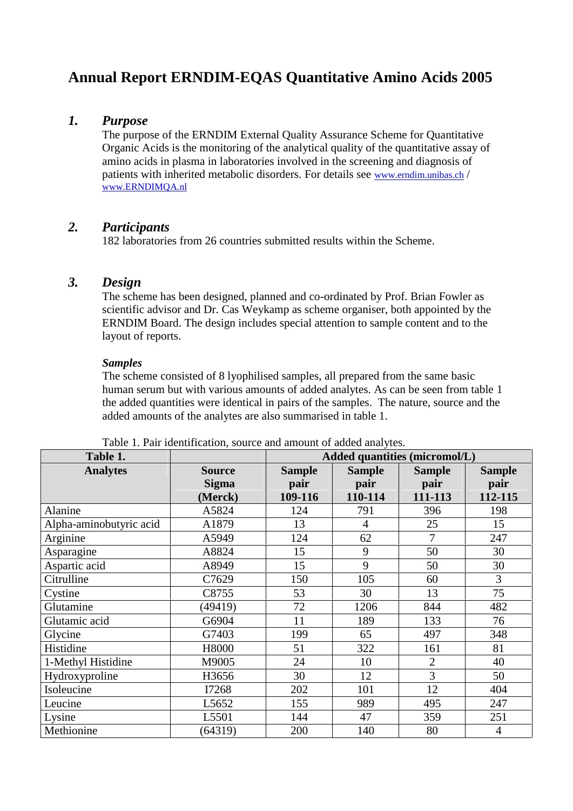# **Annual Report ERNDIM-EQAS Quantitative Amino Acids 2005**

## *1. Purpose*

The purpose of the ERNDIM External Quality Assurance Scheme for Quantitative Organic Acids is the monitoring of the analytical quality of the quantitative assay of amino acids in plasma in laboratories involved in the screening and diagnosis of patients with inherited metabolic disorders. For details see www.erndim.unibas.ch / www.ERNDIMQA.nl

## *2. Participants*

182 laboratories from 26 countries submitted results within the Scheme.

## *3. Design*

The scheme has been designed, planned and co-ordinated by Prof. Brian Fowler as scientific advisor and Dr. Cas Weykamp as scheme organiser, both appointed by the ERNDIM Board. The design includes special attention to sample content and to the layout of reports.

#### *Samples*

The scheme consisted of 8 lyophilised samples, all prepared from the same basic human serum but with various amounts of added analytes. As can be seen from table 1 the added quantities were identical in pairs of the samples. The nature, source and the added amounts of the analytes are also summarised in table 1.

| Table 1.                |               | Added quantities (micromol/L) |                |                |                |  |  |
|-------------------------|---------------|-------------------------------|----------------|----------------|----------------|--|--|
| <b>Analytes</b>         | <b>Source</b> | <b>Sample</b>                 | <b>Sample</b>  | <b>Sample</b>  | <b>Sample</b>  |  |  |
|                         | <b>Sigma</b>  | pair                          | pair           | pair           | pair           |  |  |
|                         | (Merck)       | 109-116                       | 110-114        | 111-113        | 112-115        |  |  |
| Alanine                 | A5824         | 124                           | 791            | 396            | 198            |  |  |
| Alpha-aminobutyric acid | A1879         | 13                            | $\overline{4}$ | 25             | 15             |  |  |
| Arginine                | A5949         | 124                           | 62             | $\overline{7}$ | 247            |  |  |
| Asparagine              | A8824         | 15                            | 9              | 50             | 30             |  |  |
| Aspartic acid           | A8949         | 15                            | 9              | 50             | 30             |  |  |
| Citrulline              | C7629         | 150                           | 105            | 60             | 3              |  |  |
| Cystine                 | C8755         | 53                            | 30             | 13             | 75             |  |  |
| Glutamine               | (49419)       | 72                            | 1206           | 844            | 482            |  |  |
| Glutamic acid           | G6904         | 11                            | 189            | 133            | 76             |  |  |
| Glycine                 | G7403         | 199                           | 65             | 497            | 348            |  |  |
| Histidine               | H8000         | 51                            | 322            | 161            | 81             |  |  |
| 1-Methyl Histidine      | M9005         | 24                            | 10             | $\overline{2}$ | 40             |  |  |
| Hydroxyproline          | H3656         | 30                            | 12             | $\overline{3}$ | 50             |  |  |
| Isoleucine              | I7268         | 202                           | 101            | 12             | 404            |  |  |
| Leucine                 | L5652         | 155                           | 989            | 495            | 247            |  |  |
| Lysine                  | L5501         | 144                           | 47             | 359            | 251            |  |  |
| Methionine              | (64319)       | 200                           | 140            | 80             | $\overline{4}$ |  |  |

Table 1. Pair identification, source and amount of added analytes.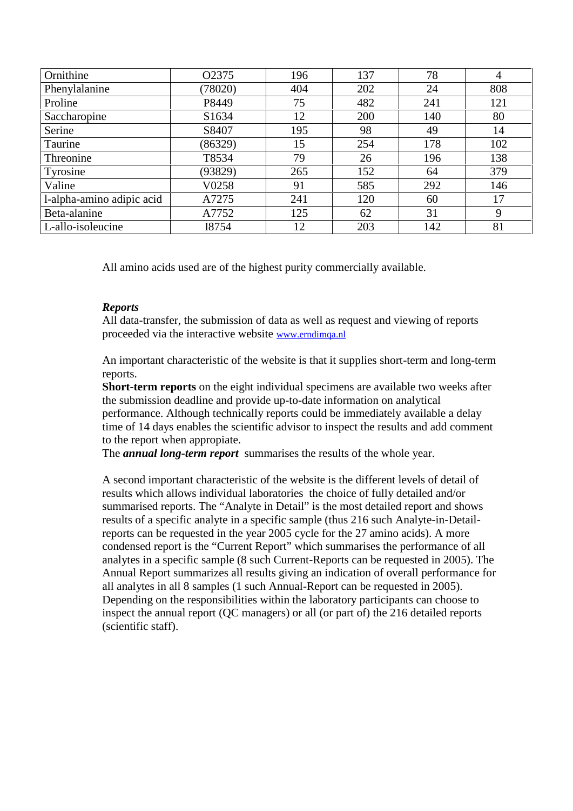| Ornithine                 | O2375   | 196 | 137 | 78  | $\overline{4}$ |
|---------------------------|---------|-----|-----|-----|----------------|
| Phenylalanine             | (78020) | 404 | 202 | 24  | 808            |
| Proline                   | P8449   | 75  | 482 | 241 | 121            |
| Saccharopine              | S1634   | 12  | 200 | 140 | 80             |
| Serine                    | S8407   | 195 | 98  | 49  | 14             |
| Taurine                   | (86329) | 15  | 254 | 178 | 102            |
| Threonine                 | T8534   | 79  | 26  | 196 | 138            |
| Tyrosine                  | (93829) | 265 | 152 | 64  | 379            |
| Valine                    | V0258   | 91  | 585 | 292 | 146            |
| l-alpha-amino adipic acid | A7275   | 241 | 120 | 60  | 17             |
| Beta-alanine              | A7752   | 125 | 62  | 31  | 9              |
| L-allo-isoleucine         | I8754   | 12  | 203 | 142 | 81             |

All amino acids used are of the highest purity commercially available.

#### *Reports*

All data-transfer, the submission of data as well as request and viewing of reports proceeded via the interactive website www.erndimqa.nl

An important characteristic of the website is that it supplies short-term and long-term reports.

**Short-term reports** on the eight individual specimens are available two weeks after the submission deadline and provide up-to-date information on analytical performance. Although technically reports could be immediately available a delay time of 14 days enables the scientific advisor to inspect the results and add comment to the report when appropiate.

The *annual long-term report* summarises the results of the whole year.

A second important characteristic of the website is the different levels of detail of results which allows individual laboratories the choice of fully detailed and/or summarised reports. The "Analyte in Detail" is the most detailed report and shows results of a specific analyte in a specific sample (thus 216 such Analyte-in-Detailreports can be requested in the year 2005 cycle for the 27 amino acids). A more condensed report is the "Current Report" which summarises the performance of all analytes in a specific sample (8 such Current-Reports can be requested in 2005). The Annual Report summarizes all results giving an indication of overall performance for all analytes in all 8 samples (1 such Annual-Report can be requested in 2005). Depending on the responsibilities within the laboratory participants can choose to inspect the annual report (QC managers) or all (or part of) the 216 detailed reports (scientific staff).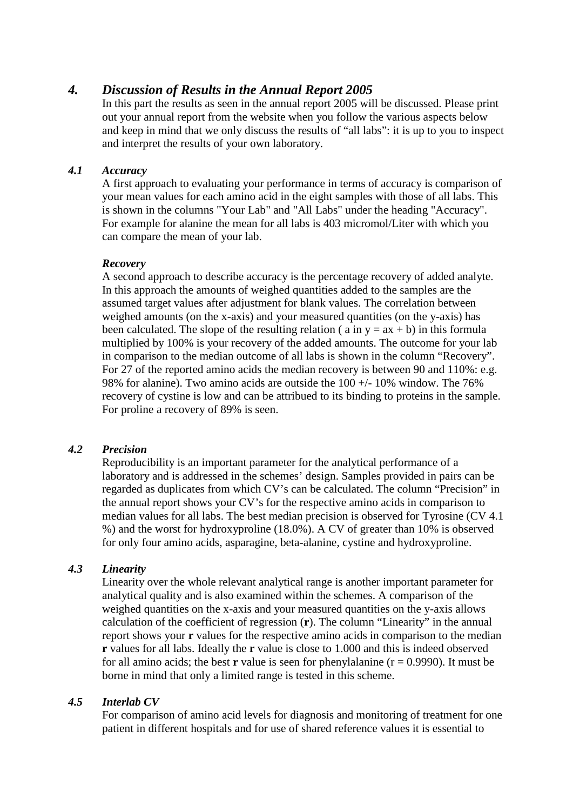# *4. Discussion of Results in the Annual Report 2005*

In this part the results as seen in the annual report 2005 will be discussed. Please print out your annual report from the website when you follow the various aspects below and keep in mind that we only discuss the results of "all labs": it is up to you to inspect and interpret the results of your own laboratory.

#### *4.1 Accuracy*

A first approach to evaluating your performance in terms of accuracy is comparison of your mean values for each amino acid in the eight samples with those of all labs. This is shown in the columns "Your Lab" and "All Labs" under the heading "Accuracy". For example for alanine the mean for all labs is 403 micromol/Liter with which you can compare the mean of your lab.

#### *Recovery*

A second approach to describe accuracy is the percentage recovery of added analyte. In this approach the amounts of weighed quantities added to the samples are the assumed target values after adjustment for blank values. The correlation between weighed amounts (on the x-axis) and your measured quantities (on the y-axis) has been calculated. The slope of the resulting relation ( $a$  in  $y = ax + b$ ) in this formula multiplied by 100% is your recovery of the added amounts. The outcome for your lab in comparison to the median outcome of all labs is shown in the column "Recovery". For 27 of the reported amino acids the median recovery is between 90 and 110%: e.g. 98% for alanine). Two amino acids are outside the 100 +/- 10% window. The 76% recovery of cystine is low and can be attribued to its binding to proteins in the sample. For proline a recovery of 89% is seen.

#### *4.2 Precision*

Reproducibility is an important parameter for the analytical performance of a laboratory and is addressed in the schemes' design. Samples provided in pairs can be regarded as duplicates from which CV's can be calculated. The column "Precision" in the annual report shows your CV's for the respective amino acids in comparison to median values for all labs. The best median precision is observed for Tyrosine (CV 4.1 %) and the worst for hydroxyproline (18.0%). A CV of greater than 10% is observed for only four amino acids, asparagine, beta-alanine, cystine and hydroxyproline.

#### *4.3 Linearity*

Linearity over the whole relevant analytical range is another important parameter for analytical quality and is also examined within the schemes. A comparison of the weighed quantities on the x-axis and your measured quantities on the y-axis allows calculation of the coefficient of regression (**r**). The column "Linearity" in the annual report shows your **r** values for the respective amino acids in comparison to the median **r** values for all labs. Ideally the **r** value is close to 1.000 and this is indeed observed for all amino acids; the best **r** value is seen for phenylalanine ( $r = 0.9990$ ). It must be borne in mind that only a limited range is tested in this scheme.

#### *4.5 Interlab CV*

For comparison of amino acid levels for diagnosis and monitoring of treatment for one patient in different hospitals and for use of shared reference values it is essential to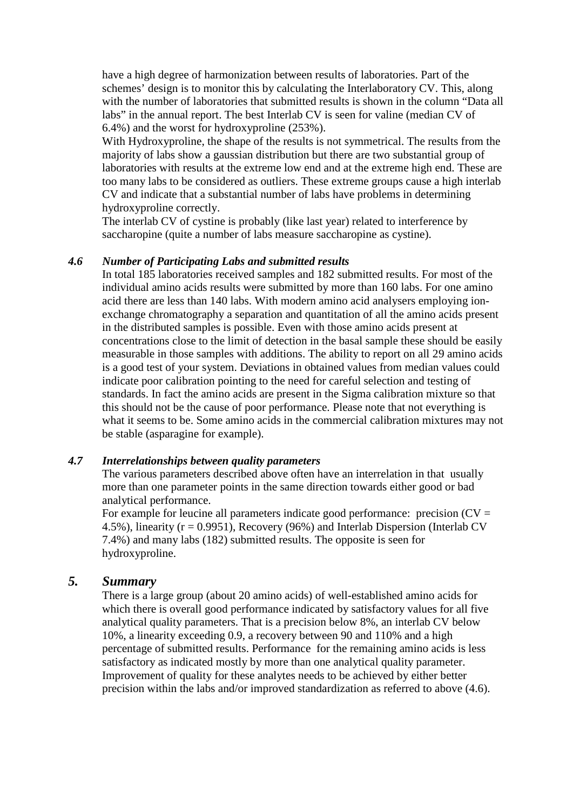have a high degree of harmonization between results of laboratories. Part of the schemes' design is to monitor this by calculating the Interlaboratory CV. This, along with the number of laboratories that submitted results is shown in the column "Data all labs" in the annual report. The best Interlab CV is seen for valine (median CV of 6.4%) and the worst for hydroxyproline (253%).

With Hydroxyproline, the shape of the results is not symmetrical. The results from the majority of labs show a gaussian distribution but there are two substantial group of laboratories with results at the extreme low end and at the extreme high end. These are too many labs to be considered as outliers. These extreme groups cause a high interlab CV and indicate that a substantial number of labs have problems in determining hydroxyproline correctly.

The interlab CV of cystine is probably (like last year) related to interference by saccharopine (quite a number of labs measure saccharopine as cystine).

#### *4.6 Number of Participating Labs and submitted results*

In total 185 laboratories received samples and 182 submitted results. For most of the individual amino acids results were submitted by more than 160 labs. For one amino acid there are less than 140 labs. With modern amino acid analysers employing ion exchange chromatography a separation and quantitation of all the amino acids present in the distributed samples is possible. Even with those amino acids present at concentrations close to the limit of detection in the basal sample these should be easily measurable in those samples with additions. The ability to report on all 29 amino acids is a good test of your system. Deviations in obtained values from median values could indicate poor calibration pointing to the need for careful selection and testing of standards. In fact the amino acids are present in the Sigma calibration mixture so that this should not be the cause of poor performance. Please note that not everything is what it seems to be. Some amino acids in the commercial calibration mixtures may not be stable (asparagine for example).

#### *4.7 Interrelationships between quality parameters*

The various parameters described above often have an interrelation in that usually more than one parameter points in the same direction towards either good or bad analytical performance.

For example for leucine all parameters indicate good performance: precision  $(CV =$ 4.5%), linearity ( $r = 0.9951$ ), Recovery (96%) and Interlab Dispersion (Interlab CV 7.4%) and many labs (182) submitted results. The opposite is seen for hydroxyproline.

### *5. Summary*

There is a large group (about 20 amino acids) of well-established amino acids for which there is overall good performance indicated by satisfactory values for all five analytical quality parameters. That is a precision below 8%, an interlab CV below 10%, a linearity exceeding 0.9, a recovery between 90 and 110% and a high percentage of submitted results. Performance for the remaining amino acids is less satisfactory as indicated mostly by more than one analytical quality parameter. Improvement of quality for these analytes needs to be achieved by either better precision within the labs and/or improved standardization as referred to above (4.6).